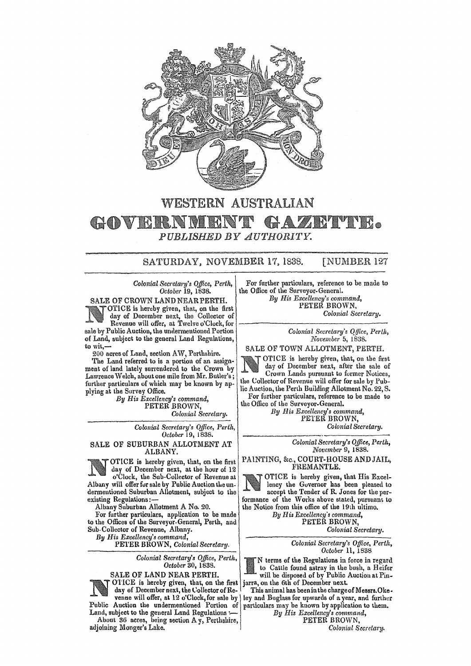

## WESTERN AUSTRALIAN • *PUBLISHED BY AUTHORITY.*

## SATURDAY, NOVEMBER 17. 1838. [NUMBER 127

*Colonial Secretary's Office, Perth, October* 19, 1838.

SALE OF CROWN LAND NEAR PERTH. OTICE is hereby given, that, on the first DITCE is intereby given, that, on the first<br>
day of December next, the Collector of<br>
Revenue will offer, at Twelve o'Clock, for  $\alpha$ <br>
Colonial Secretary.<br>
Colonial Secretary. sale by Public Auction, the umlermentioned Portion of Land, subject to the general Land Regulations, to wit,-

200 acres of Land, section AW, Perthshire.

The Land referred to is a portion of an assignment of land lately surrendered to the Crown by Lawrence Welch, about one mile from Mr. Butler's; further particulars of which may be known by applying at the Survey Office.

By His *Excellency's command*, PETER BROWN, *Colonial Secretary.* 

> *Colonial Secretary's Office, Perth, October* 19, 1838.

SALE OF SUBURBAN ALLOTMENT AT ALBANY.

OTICE is hereby given, that, on the first day of December next, at the hour of 12 o'Clock, the Sub· Collector of Revenue at Albany will offer for sale by Public Auction the undermentioned Suburban Allotment, subject to the existing Regulations:-

Albany Suburban Allotment A No. 20.

For further particulars, application to be made to the Offices of the Surveyor-General, Perth, and Sub-Collector of Revenue, Albany.

By His Excellency's command,

PETER BROWN, *Colonial Secretary*.

*Colonial Secretary'3 Office, Perth, October* 30, 1838.





OTICE is hereby given, that, on the first day of December next, the Collector of Re-

venue will offer, at 12 o'Clock, for sale by Public Auction the undermentioned Portion of

Land, subject to the general Land Regulations : About 36 acres, being section  $A_y$ , Perthshire, adjoining Monger's Lake.

For further particulars, reference to be made to the Office of the Surveyor-General. *By His Excellency'S command,* 

PETER BROWN, *Colonial Secretary.* 

*Colonial Secretary's Qlfice, Perlh, November* 5, 1838.

SALE OF TOWN ALLOTMENT, PERTH.

OTICE is hereby given, that, on the first day of December next, after the sale of Crown Lands pursuant to former Notices, the Collector of Revenue will offer for sale by Public Auction, the Perth Building Allotment No. 22, S.

For further particulars, reference to be made to the Office of the Surveyor-General.

By His *Excellency's* command, PETER BROWN, *Colonial Secretary.* 

> *Colonial Secretary's Office, Perth, November* 9, 1838.

PAINTING, &c., COURT-HOUSE AND JAIL, FREMANTLE.

OTICE is hereby given, that His Excellency the Governor has been pleased to accept the Tender of R. Jones for the performance of the Works above stated, pursuant to the Notice from this office of the 19th ultimo.

*By R* is *Excellency* '8 *command,*  PETER BROWN,

*Colonial Secretary.* 

*Colonial Secretary's Office, Perth, October* 11, 1838

N terms of the Regulations in force in regard to Cattle found astray in the bush, a Heifer will be disposed of by Public Auction at Pinjarra, on the 6th of December next.

This animal has been in the charge of Messrs. Okeley and Buglass for upwards of a year, and further particulars may be known by application to them.

*By His Excellency's command,*  PETER BROWN.

*Colonial Secretary.*